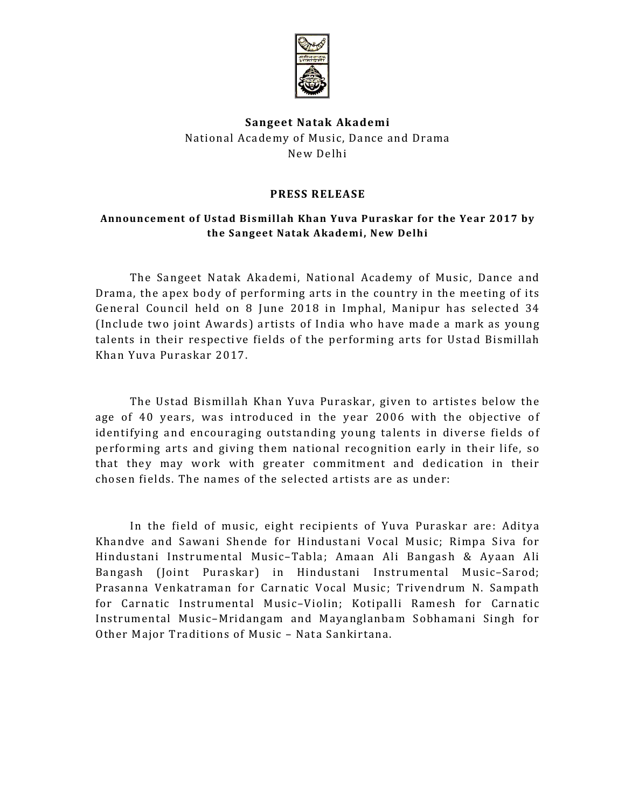

# Sangeet Natak Akademi National Academy of Music, Dance and Drama New Delhi

#### PRESS RELEASE

#### Announcement of Ustad Bismillah Khan Yuva Puraskar for the Year 2017 by the Sangeet Natak Akademi, New Delhi

The Sangeet Natak Akademi, National Academy of Music, Dance and Drama, the apex body of performing arts in the country in the meeting of its General Council held on 8 June 2018 in Imphal, Manipur has selected 34 (Include two joint Awards) artists of India who have made a mark as young talents in their respective fields of the performing arts for Ustad Bismillah Khan Yuva Puraskar 2017.

The Ustad Bismillah Khan Yuva Puraskar, given to artistes below the age of 40 years, was introduced in the year 2006 with the objective of identifying and encouraging outstanding young talents in diverse fields of performing arts and giving them national recognition early in their life, so that they may work with greater commitment and dedication in their chosen fields. The names of the selected artists are as under:

In the field of music, eight recipients of Yuva Puraskar are: Aditya Khandve and Sawani Shende for Hindustani Vocal Music; Rimpa Siva for Hindustani Instrumental Music–Tabla; Amaan Ali Bangash & Ayaan Ali Bangash (Joint Puraskar) in Hindustani Instrumental Music–Sarod; Prasanna Venkatraman for Carnatic Vocal Music; Trivendrum N. Sampath for Carnatic Instrumental Music–Violin; Kotipalli Ramesh for Carnatic Instrumental Music–Mridangam and Mayanglanbam Sobhamani Singh for Other Major Traditions of Music – Nata Sankirtana.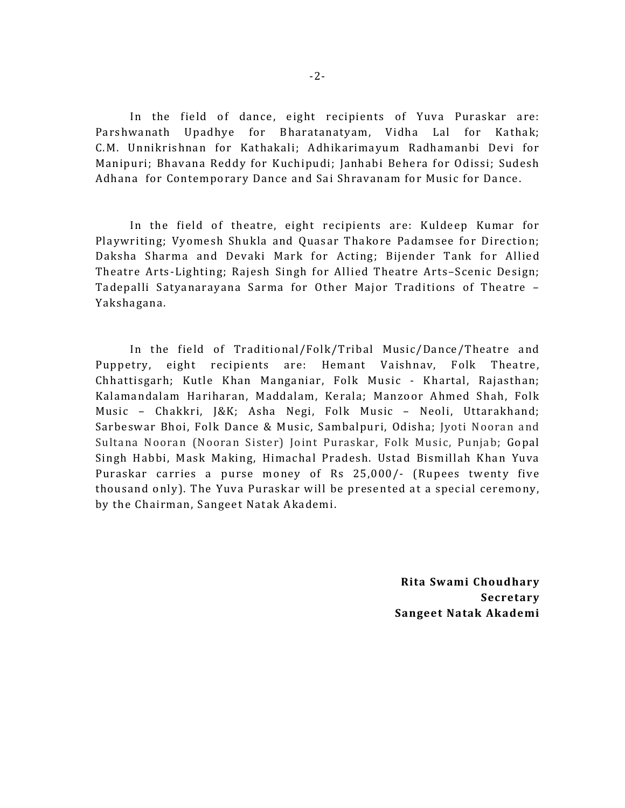In the field of dance, eight recipients of Yuva Puraskar are: Parshwanath Upadhye for Bharatanatyam, Vidha Lal for Kathak; C.M. Unnikrishnan for Kathakali; Adhikarimayum Radhamanbi Devi for Manipuri; Bhavana Reddy for Kuchipudi; Janhabi Behera for Odissi; Sudesh Adhana for Contemporary Dance and Sai Shravanam for Music for Dance.

In the field of theatre, eight recipients are: Kuldeep Kumar for Playwriting; Vyomesh Shukla and Quasar Thakore Padamsee for Direction; Daksha Sharma and Devaki Mark for Acting; Bijender Tank for Allied Theatre Arts-Lighting; Rajesh Singh for Allied Theatre Arts–Scenic Design; Tadepalli Satyanarayana Sarma for Other Major Traditions of Theatre – Yakshagana.

In the field of Traditional/Folk/Tribal Music/Dance/Theatre and Puppetry, eight recipients are: Hemant Vaishnav, Folk Theatre, Chhattisgarh; Kutle Khan Manganiar, Folk Music - Khartal, Rajasthan; Kalamandalam Hariharan, Maddalam, Kerala; Manzoor Ahmed Shah, Folk Music – Chakkri, J&K; Asha Negi, Folk Music – Neoli, Uttarakhand; Sarbeswar Bhoi, Folk Dance & Music, Sambalpuri, Odisha; Jyoti Nooran and Sultana Nooran (Nooran Sister) Joint Puraskar, Folk Music, Punjab; Gopal Singh Habbi, Mask Making, Himachal Pradesh. Ustad Bismillah Khan Yuva Puraskar carries a purse money of Rs 25,000/- (Rupees twenty five thousand only). The Yuva Puraskar will be presented at a special ceremony, by the Chairman, Sangeet Natak Akademi.

> Rita Swami Choudhary Secretary Sangeet Natak Akademi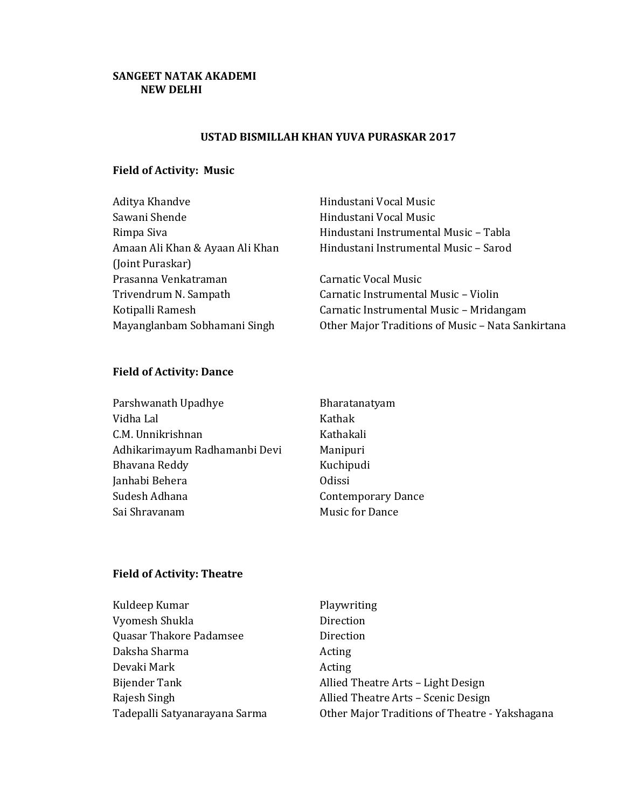### SANGEET NATAK AKADEMI NEW DELHI

#### USTAD BISMILLAH KHAN YUVA PURASKAR 2017

## Field of Activity: Music

| Aditya Khandve                  | Hindustani Vocal Music                            |
|---------------------------------|---------------------------------------------------|
| Sawani Shende                   | Hindustani Vocal Music                            |
| Rimpa Siva                      | Hindustani Instrumental Music - Tabla             |
| Amaan Ali Khan & Ayaan Ali Khan | Hindustani Instrumental Music - Sarod             |
| (Joint Puraskar)                |                                                   |
| Prasanna Venkatraman            | Carnatic Vocal Music                              |
| Trivendrum N. Sampath           | Carnatic Instrumental Music - Violin              |
| Kotipalli Ramesh                | Carnatic Instrumental Music - Mridangam           |
| Mayanglanbam Sobhamani Singh    | Other Major Traditions of Music - Nata Sankirtana |
|                                 |                                                   |

# Field of Activity: Dance

| Parshwanath Upadhye           | Bharatanatyam             |
|-------------------------------|---------------------------|
| Vidha Lal                     | Kathak                    |
| C.M. Unnikrishnan             | Kathakali                 |
| Adhikarimayum Radhamanbi Devi | Manipuri                  |
| Bhavana Reddy                 | Kuchipudi                 |
| Janhabi Behera                | <b>Odissi</b>             |
| Sudesh Adhana                 | <b>Contemporary Dance</b> |
| Sai Shravanam                 | <b>Music for Dance</b>    |

### Field of Activity: Theatre

| Kuldeep Kumar                 | Playwriting                                    |
|-------------------------------|------------------------------------------------|
| Vyomesh Shukla                | Direction                                      |
| Quasar Thakore Padamsee       | Direction                                      |
| Daksha Sharma                 | Acting                                         |
| Devaki Mark                   | Acting                                         |
| Bijender Tank                 | Allied Theatre Arts - Light Design             |
| Rajesh Singh                  | Allied Theatre Arts - Scenic Design            |
| Tadepalli Satyanarayana Sarma | Other Major Traditions of Theatre - Yakshagana |
|                               |                                                |